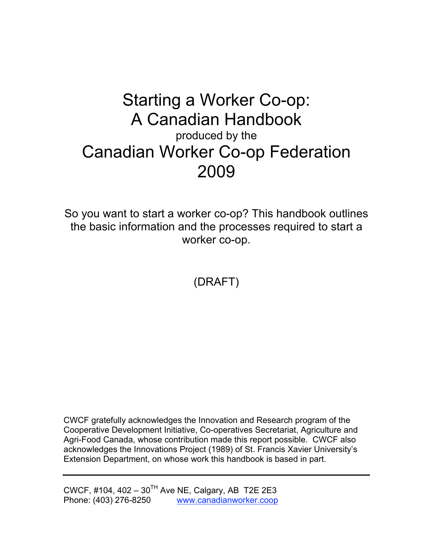# Starting a Worker Co-op: A Canadian Handbook produced by the Canadian Worker Co-op Federation 2009

So you want to start a worker co-op? This handbook outlines the basic information and the processes required to start a worker co-op.

(DRAFT)

CWCF gratefully acknowledges the Innovation and Research program of the Cooperative Development Initiative, Co-operatives Secretariat, Agriculture and Agri-Food Canada, whose contribution made this report possible. CWCF also acknowledges the Innovations Project (1989) of St. Francis Xavier University's Extension Department, on whose work this handbook is based in part.

CWCF, #104, 402 – 30<sup>TH</sup> Ave NE, Calgary, AB T2E 2E3 Phone: (403) 276-8250 www.canadianworker.coop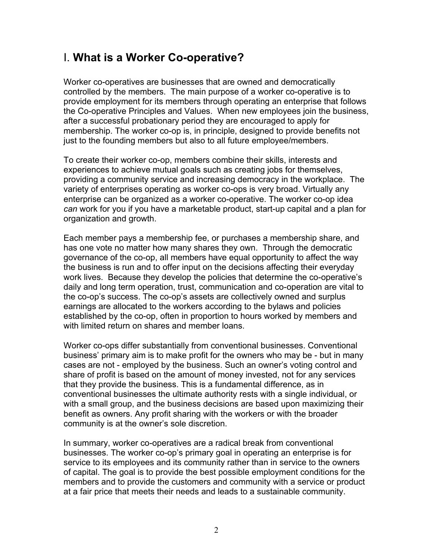# I. **What is a Worker Co-operative?**

Worker co-operatives are businesses that are owned and democratically controlled by the members. The main purpose of a worker co-operative is to provide employment for its members through operating an enterprise that follows the Co-operative Principles and Values. When new employees join the business, after a successful probationary period they are encouraged to apply for membership. The worker co-op is, in principle, designed to provide benefits not just to the founding members but also to all future employee/members.

To create their worker co-op, members combine their skills, interests and experiences to achieve mutual goals such as creating jobs for themselves, providing a community service and increasing democracy in the workplace. The variety of enterprises operating as worker co-ops is very broad. Virtually any enterprise can be organized as a worker co-operative. The worker co-op idea *can* work for you if you have a marketable product, start-up capital and a plan for organization and growth.

Each member pays a membership fee, or purchases a membership share, and has one vote no matter how many shares they own. Through the democratic governance of the co-op, all members have equal opportunity to affect the way the business is run and to offer input on the decisions affecting their everyday work lives. Because they develop the policies that determine the co-operative's daily and long term operation, trust, communication and co-operation are vital to the co-op's success. The co-op's assets are collectively owned and surplus earnings are allocated to the workers according to the bylaws and policies established by the co-op, often in proportion to hours worked by members and with limited return on shares and member loans.

Worker co-ops differ substantially from conventional businesses. Conventional business' primary aim is to make profit for the owners who may be - but in many cases are not - employed by the business. Such an owner's voting control and share of profit is based on the amount of money invested, not for any services that they provide the business. This is a fundamental difference, as in conventional businesses the ultimate authority rests with a single individual, or with a small group, and the business decisions are based upon maximizing their benefit as owners. Any profit sharing with the workers or with the broader community is at the owner's sole discretion.

In summary, worker co-operatives are a radical break from conventional businesses. The worker co-op's primary goal in operating an enterprise is for service to its employees and its community rather than in service to the owners of capital. The goal is to provide the best possible employment conditions for the members and to provide the customers and community with a service or product at a fair price that meets their needs and leads to a sustainable community.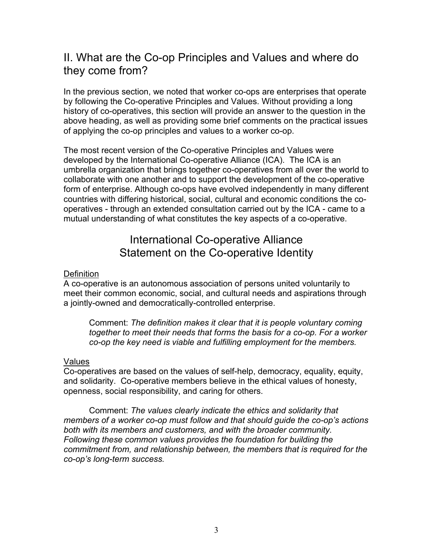# II. What are the Co-op Principles and Values and where do they come from?

In the previous section, we noted that worker co-ops are enterprises that operate by following the Co-operative Principles and Values. Without providing a long history of co-operatives, this section will provide an answer to the question in the above heading, as well as providing some brief comments on the practical issues of applying the co-op principles and values to a worker co-op.

The most recent version of the Co-operative Principles and Values were developed by the International Co-operative Alliance (ICA). The ICA is an umbrella organization that brings together co-operatives from all over the world to collaborate with one another and to support the development of the co-operative form of enterprise. Although co-ops have evolved independently in many different countries with differing historical, social, cultural and economic conditions the cooperatives - through an extended consultation carried out by the ICA - came to a mutual understanding of what constitutes the key aspects of a co-operative.

# International Co-operative Alliance Statement on the Co-operative Identity

#### **Definition**

A co-operative is an autonomous association of persons united voluntarily to meet their common economic, social, and cultural needs and aspirations through a jointly-owned and democratically-controlled enterprise.

Comment: *The definition makes it clear that it is people voluntary coming together to meet their needs that forms the basis for a co-op. For a worker co-op the key need is viable and fulfilling employment for the members.*

#### Values

Co-operatives are based on the values of self-help, democracy, equality, equity, and solidarity. Co-operative members believe in the ethical values of honesty, openness, social responsibility, and caring for others.

Comment: *The values clearly indicate the ethics and solidarity that members of a worker co-op must follow and that should guide the co-op's actions both with its members and customers, and with the broader community. Following these common values provides the foundation for building the commitment from, and relationship between, the members that is required for the co-op's long-term success.*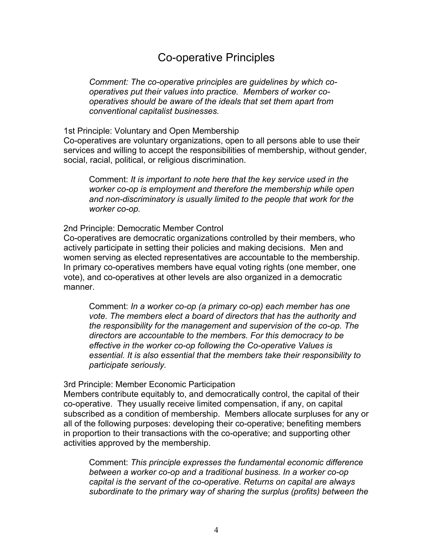# Co-operative Principles

*Comment: The co-operative principles are guidelines by which cooperatives put their values into practice. Members of worker cooperatives should be aware of the ideals that set them apart from conventional capitalist businesses.*

1st Principle: Voluntary and Open Membership

Co-operatives are voluntary organizations, open to all persons able to use their services and willing to accept the responsibilities of membership, without gender, social, racial, political, or religious discrimination.

Comment: *It is important to note here that the key service used in the worker co-op is employment and therefore the membership while open and non-discriminatory is usually limited to the people that work for the worker co-op.*

#### 2nd Principle: Democratic Member Control

Co-operatives are democratic organizations controlled by their members, who actively participate in setting their policies and making decisions. Men and women serving as elected representatives are accountable to the membership. In primary co-operatives members have equal voting rights (one member, one vote), and co-operatives at other levels are also organized in a democratic manner.

Comment: *In a worker co-op (a primary co-op) each member has one vote. The members elect a board of directors that has the authority and the responsibility for the management and supervision of the co-op. The directors are accountable to the members. For this democracy to be effective in the worker co-op following the Co-operative Values is essential. It is also essential that the members take their responsibility to participate seriously.*

#### 3rd Principle: Member Economic Participation

Members contribute equitably to, and democratically control, the capital of their co-operative. They usually receive limited compensation, if any, on capital subscribed as a condition of membership. Members allocate surpluses for any or all of the following purposes: developing their co-operative; benefiting members in proportion to their transactions with the co-operative; and supporting other activities approved by the membership.

Comment: *This principle expresses the fundamental economic difference between a worker co-op and a traditional business. In a worker co-op capital is the servant of the co-operative. Returns on capital are always subordinate to the primary way of sharing the surplus (profits) between the*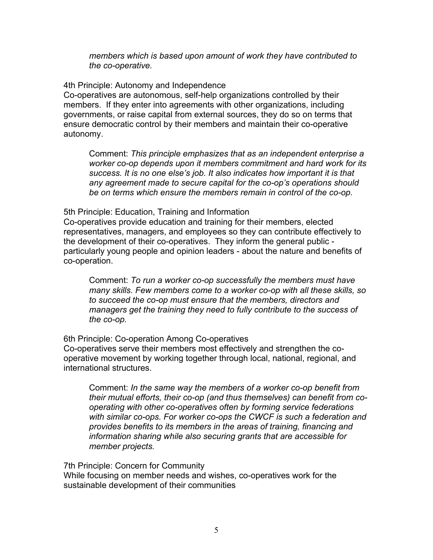*members which is based upon amount of work they have contributed to the co-operative.*

4th Principle: Autonomy and Independence Co-operatives are autonomous, self-help organizations controlled by their members. If they enter into agreements with other organizations, including governments, or raise capital from external sources, they do so on terms that ensure democratic control by their members and maintain their co-operative autonomy.

Comment: *This principle emphasizes that as an independent enterprise a worker co-op depends upon it members commitment and hard work for its success. It is no one else's job. It also indicates how important it is that any agreement made to secure capital for the co-op's operations should be on terms which ensure the members remain in control of the co-op.*

5th Principle: Education, Training and Information

Co-operatives provide education and training for their members, elected representatives, managers, and employees so they can contribute effectively to the development of their co-operatives. They inform the general public particularly young people and opinion leaders - about the nature and benefits of co-operation.

Comment: *To run a worker co-op successfully the members must have many skills. Few members come to a worker co-op with all these skills, so to succeed the co-op must ensure that the members, directors and managers get the training they need to fully contribute to the success of the co-op.*

6th Principle: Co-operation Among Co-operatives

Co-operatives serve their members most effectively and strengthen the cooperative movement by working together through local, national, regional, and international structures.

Comment: *In the same way the members of a worker co-op benefit from their mutual efforts, their co-op (and thus themselves) can benefit from cooperating with other co-operatives often by forming service federations with similar co-ops. For worker co-ops the CWCF is such a federation and provides benefits to its members in the areas of training, financing and information sharing while also securing grants that are accessible for member projects.*

7th Principle: Concern for Community

While focusing on member needs and wishes, co-operatives work for the sustainable development of their communities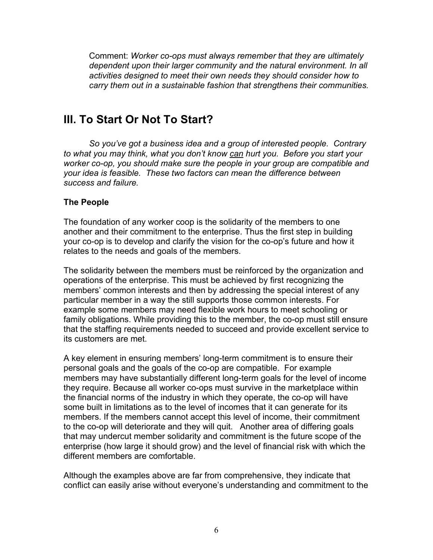Comment: *Worker co-ops must always remember that they are ultimately dependent upon their larger community and the natural environment. In all activities designed to meet their own needs they should consider how to carry them out in a sustainable fashion that strengthens their communities.*

# **III. To Start Or Not To Start?**

*So you've got a business idea and a group of interested people. Contrary to what you may think, what you don't know can hurt you. Before you start your worker co-op, you should make sure the people in your group are compatible and your idea is feasible. These two factors can mean the difference between success and failure.*

### **The People**

The foundation of any worker coop is the solidarity of the members to one another and their commitment to the enterprise. Thus the first step in building your co-op is to develop and clarify the vision for the co-op's future and how it relates to the needs and goals of the members.

The solidarity between the members must be reinforced by the organization and operations of the enterprise. This must be achieved by first recognizing the members' common interests and then by addressing the special interest of any particular member in a way the still supports those common interests. For example some members may need flexible work hours to meet schooling or family obligations. While providing this to the member, the co-op must still ensure that the staffing requirements needed to succeed and provide excellent service to its customers are met.

A key element in ensuring members' long-term commitment is to ensure their personal goals and the goals of the co-op are compatible. For example members may have substantially different long-term goals for the level of income they require. Because all worker co-ops must survive in the marketplace within the financial norms of the industry in which they operate, the co-op will have some built in limitations as to the level of incomes that it can generate for its members. If the members cannot accept this level of income, their commitment to the co-op will deteriorate and they will quit. Another area of differing goals that may undercut member solidarity and commitment is the future scope of the enterprise (how large it should grow) and the level of financial risk with which the different members are comfortable.

Although the examples above are far from comprehensive, they indicate that conflict can easily arise without everyone's understanding and commitment to the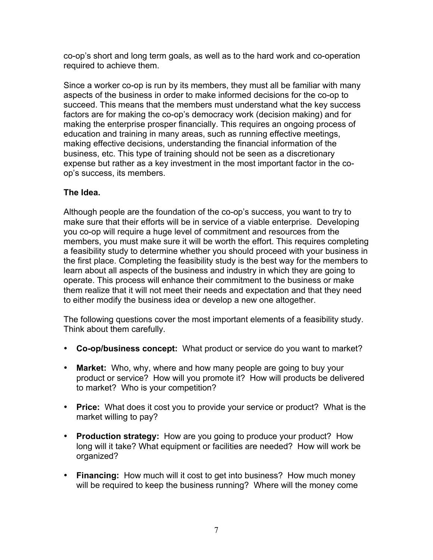co-op's short and long term goals, as well as to the hard work and co-operation required to achieve them.

Since a worker co-op is run by its members, they must all be familiar with many aspects of the business in order to make informed decisions for the co-op to succeed. This means that the members must understand what the key success factors are for making the co-op's democracy work (decision making) and for making the enterprise prosper financially. This requires an ongoing process of education and training in many areas, such as running effective meetings, making effective decisions, understanding the financial information of the business, etc. This type of training should not be seen as a discretionary expense but rather as a key investment in the most important factor in the coop's success, its members.

# **The Idea.**

Although people are the foundation of the co-op's success, you want to try to make sure that their efforts will be in service of a viable enterprise. Developing you co-op will require a huge level of commitment and resources from the members, you must make sure it will be worth the effort. This requires completing a feasibility study to determine whether you should proceed with your business in the first place. Completing the feasibility study is the best way for the members to learn about all aspects of the business and industry in which they are going to operate. This process will enhance their commitment to the business or make them realize that it will not meet their needs and expectation and that they need to either modify the business idea or develop a new one altogether.

The following questions cover the most important elements of a feasibility study. Think about them carefully.

- **Co-op/business concept:** What product or service do you want to market?
- **Market:** Who, why, where and how many people are going to buy your product or service? How will you promote it? How will products be delivered to market? Who is your competition?
- **Price:** What does it cost you to provide your service or product? What is the market willing to pay?
- **Production strategy:** How are you going to produce your product? How long will it take? What equipment or facilities are needed? How will work be organized?
- **Financing:** How much will it cost to get into business? How much money will be required to keep the business running? Where will the money come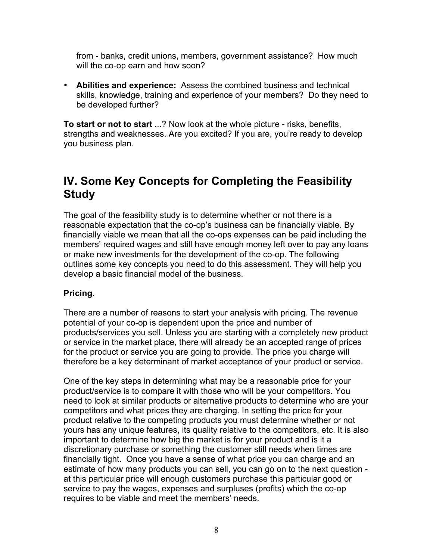from - banks, credit unions, members, government assistance? How much will the co-op earn and how soon?

• **Abilities and experience:** Assess the combined business and technical skills, knowledge, training and experience of your members? Do they need to be developed further?

**To start or not to start** ...? Now look at the whole picture - risks, benefits, strengths and weaknesses. Are you excited? If you are, you're ready to develop you business plan.

# **IV. Some Key Concepts for Completing the Feasibility Study**

The goal of the feasibility study is to determine whether or not there is a reasonable expectation that the co-op's business can be financially viable. By financially viable we mean that all the co-ops expenses can be paid including the members' required wages and still have enough money left over to pay any loans or make new investments for the development of the co-op. The following outlines some key concepts you need to do this assessment. They will help you develop a basic financial model of the business.

# **Pricing.**

There are a number of reasons to start your analysis with pricing. The revenue potential of your co-op is dependent upon the price and number of products/services you sell. Unless you are starting with a completely new product or service in the market place, there will already be an accepted range of prices for the product or service you are going to provide. The price you charge will therefore be a key determinant of market acceptance of your product or service.

One of the key steps in determining what may be a reasonable price for your product/service is to compare it with those who will be your competitors. You need to look at similar products or alternative products to determine who are your competitors and what prices they are charging. In setting the price for your product relative to the competing products you must determine whether or not yours has any unique features, its quality relative to the competitors, etc. It is also important to determine how big the market is for your product and is it a discretionary purchase or something the customer still needs when times are financially tight. Once you have a sense of what price you can charge and an estimate of how many products you can sell, you can go on to the next question at this particular price will enough customers purchase this particular good or service to pay the wages, expenses and surpluses (profits) which the co-op requires to be viable and meet the members' needs.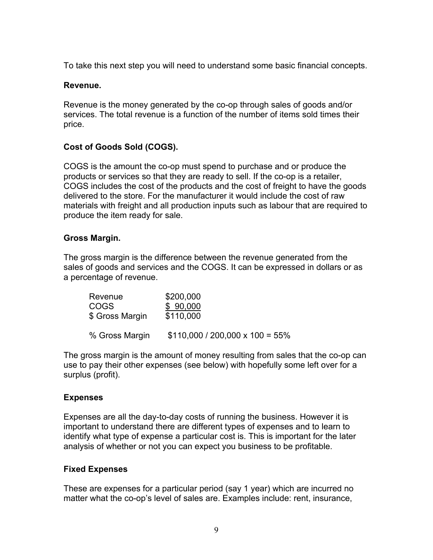To take this next step you will need to understand some basic financial concepts.

#### **Revenue.**

Revenue is the money generated by the co-op through sales of goods and/or services. The total revenue is a function of the number of items sold times their price.

# **Cost of Goods Sold (COGS).**

COGS is the amount the co-op must spend to purchase and or produce the products or services so that they are ready to sell. If the co-op is a retailer, COGS includes the cost of the products and the cost of freight to have the goods delivered to the store. For the manufacturer it would include the cost of raw materials with freight and all production inputs such as labour that are required to produce the item ready for sale.

### **Gross Margin.**

The gross margin is the difference between the revenue generated from the sales of goods and services and the COGS. It can be expressed in dollars or as a percentage of revenue.

| Revenue         | \$200,000                              |
|-----------------|----------------------------------------|
| <b>COGS</b>     | \$90,000                               |
| \$ Gross Margin | \$110,000                              |
| % Gross Margin  | $$110,000 / 200,000 \times 100 = 55\%$ |

The gross margin is the amount of money resulting from sales that the co-op can use to pay their other expenses (see below) with hopefully some left over for a surplus (profit).

# **Expenses**

Expenses are all the day-to-day costs of running the business. However it is important to understand there are different types of expenses and to learn to identify what type of expense a particular cost is. This is important for the later analysis of whether or not you can expect you business to be profitable.

#### **Fixed Expenses**

These are expenses for a particular period (say 1 year) which are incurred no matter what the co-op's level of sales are. Examples include: rent, insurance,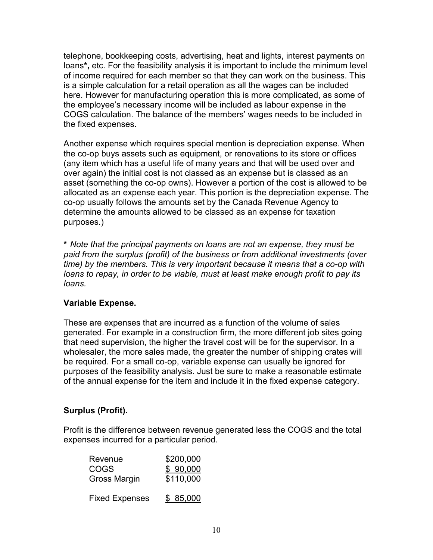telephone, bookkeeping costs, advertising, heat and lights, interest payments on loans**\*,** etc. For the feasibility analysis it is important to include the minimum level of income required for each member so that they can work on the business. This is a simple calculation for a retail operation as all the wages can be included here. However for manufacturing operation this is more complicated, as some of the employee's necessary income will be included as labour expense in the COGS calculation. The balance of the members' wages needs to be included in the fixed expenses.

Another expense which requires special mention is depreciation expense. When the co-op buys assets such as equipment, or renovations to its store or offices (any item which has a useful life of many years and that will be used over and over again) the initial cost is not classed as an expense but is classed as an asset (something the co-op owns). However a portion of the cost is allowed to be allocated as an expense each year. This portion is the depreciation expense. The co-op usually follows the amounts set by the Canada Revenue Agency to determine the amounts allowed to be classed as an expense for taxation purposes.)

**\*** *Note that the principal payments on loans are not an expense, they must be paid from the surplus (profit) of the business or from additional investments (over time) by the members. This is very important because it means that a co-op with loans to repay, in order to be viable, must at least make enough profit to pay its loans.*

# **Variable Expense.**

These are expenses that are incurred as a function of the volume of sales generated. For example in a construction firm, the more different job sites going that need supervision, the higher the travel cost will be for the supervisor. In a wholesaler, the more sales made, the greater the number of shipping crates will be required. For a small co-op, variable expense can usually be ignored for purposes of the feasibility analysis. Just be sure to make a reasonable estimate of the annual expense for the item and include it in the fixed expense category.

# **Surplus (Profit).**

Profit is the difference between revenue generated less the COGS and the total expenses incurred for a particular period.

| Revenue               | \$200,000 |
|-----------------------|-----------|
| COGS                  | \$90,000  |
| <b>Gross Margin</b>   | \$110,000 |
| <b>Fixed Expenses</b> | \$ 85,000 |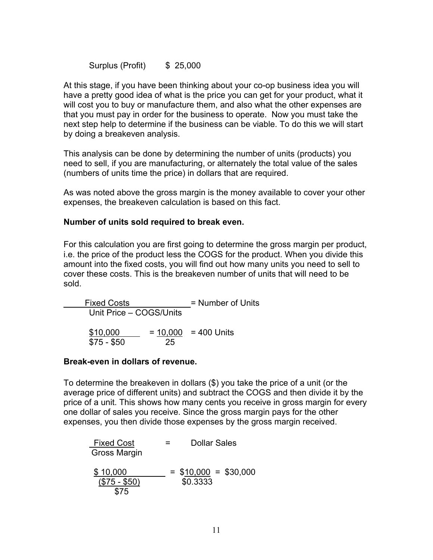Surplus (Profit) \$ 25,000

At this stage, if you have been thinking about your co-op business idea you will have a pretty good idea of what is the price you can get for your product, what it will cost you to buy or manufacture them, and also what the other expenses are that you must pay in order for the business to operate. Now you must take the next step help to determine if the business can be viable. To do this we will start by doing a breakeven analysis.

This analysis can be done by determining the number of units (products) you need to sell, if you are manufacturing, or alternately the total value of the sales (numbers of units time the price) in dollars that are required.

As was noted above the gross margin is the money available to cover your other expenses, the breakeven calculation is based on this fact.

#### **Number of units sold required to break even.**

For this calculation you are first going to determine the gross margin per product, i.e. the price of the product less the COGS for the product. When you divide this amount into the fixed costs, you will find out how many units you need to sell to cover these costs. This is the breakeven number of units that will need to be sold.

Fixed Costs = Number of Units Unit Price – COGS/Units  $$10,000 = 10,000 = 400$  Units \$75 - \$50 25

#### **Break-even in dollars of revenue.**

To determine the breakeven in dollars (\$) you take the price of a unit (or the average price of different units) and subtract the COGS and then divide it by the price of a unit. This shows how many cents you receive in gross margin for every one dollar of sales you receive. Since the gross margin pays for the other expenses, you then divide those expenses by the gross margin received.

| Fixed Cost      | =         | Dollar Sales |   |           |
|-----------------|-----------|--------------|---|-----------|
| Gross Margin    | =         | $510,000$    | = | $$30,000$ |
| $(\$75 - \$50)$ | $$0.3333$ |              |   |           |
| $$75$           |           |              |   |           |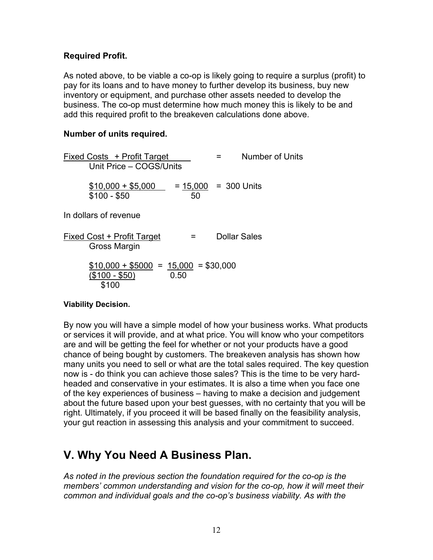### **Required Profit.**

As noted above, to be viable a co-op is likely going to require a surplus (profit) to pay for its loans and to have money to further develop its business, buy new inventory or equipment, and purchase other assets needed to develop the business. The co-op must determine how much money this is likely to be and add this required profit to the breakeven calculations done above.

#### **Number of units required.**

Fixed Costs + Profit Target = Number of Units Unit Price – COGS/Units  $$10,000 + $5,000 = 15,000 = 300$  Units  $$100 - $50$  50 In dollars of revenue Fixed Cost + Profit Target = Dollar Sales Gross Margin  $$10,000 + $5000 = 15,000 = $30,000$  $(1/100 - 150)$  0.50 \$100

#### **Viability Decision.**

By now you will have a simple model of how your business works. What products or services it will provide, and at what price. You will know who your competitors are and will be getting the feel for whether or not your products have a good chance of being bought by customers. The breakeven analysis has shown how many units you need to sell or what are the total sales required. The key question now is - do think you can achieve those sales? This is the time to be very hardheaded and conservative in your estimates. It is also a time when you face one of the key experiences of business – having to make a decision and judgement about the future based upon your best guesses, with no certainty that you will be right. Ultimately, if you proceed it will be based finally on the feasibility analysis, your gut reaction in assessing this analysis and your commitment to succeed.

# **V. Why You Need A Business Plan.**

*As noted in the previous section the foundation required for the co-op is the members' common understanding and vision for the co-op, how it will meet their common and individual goals and the co-op's business viability. As with the*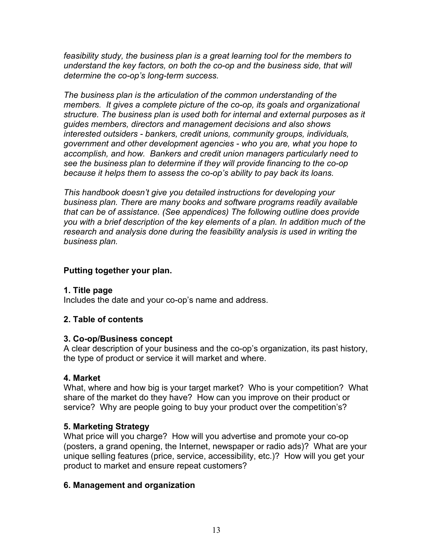*feasibility study, the business plan is a great learning tool for the members to understand the key factors, on both the co-op and the business side, that will determine the co-op's long-term success.*

*The business plan is the articulation of the common understanding of the members. It gives a complete picture of the co-op, its goals and organizational structure. The business plan is used both for internal and external purposes as it guides members, directors and management decisions and also shows interested outsiders - bankers, credit unions, community groups, individuals, government and other development agencies - who you are, what you hope to accomplish, and how. Bankers and credit union managers particularly need to see the business plan to determine if they will provide financing to the co-op because it helps them to assess the co-op's ability to pay back its loans.*

*This handbook doesn't give you detailed instructions for developing your business plan. There are many books and software programs readily available that can be of assistance. (See appendices) The following outline does provide you with a brief description of the key elements of a plan. In addition much of the research and analysis done during the feasibility analysis is used in writing the business plan.* 

### **Putting together your plan.**

#### **1. Title page**

Includes the date and your co-op's name and address.

#### **2. Table of contents**

#### **3. Co-op/Business concept**

A clear description of your business and the co-op's organization, its past history, the type of product or service it will market and where.

#### **4. Market**

What, where and how big is your target market? Who is your competition? What share of the market do they have? How can you improve on their product or service? Why are people going to buy your product over the competition's?

#### **5. Marketing Strategy**

What price will you charge? How will you advertise and promote your co-op (posters, a grand opening, the Internet, newspaper or radio ads)? What are your unique selling features (price, service, accessibility, etc.)? How will you get your product to market and ensure repeat customers?

#### **6. Management and organization**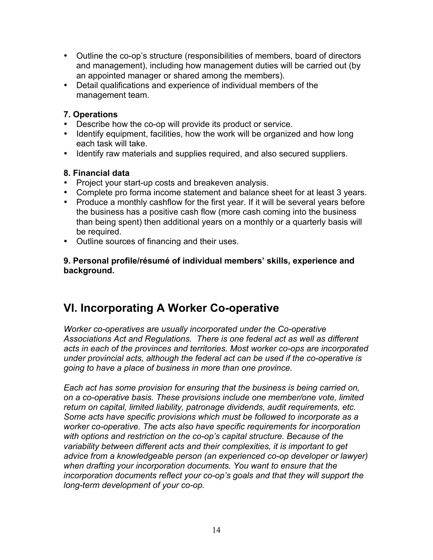- Outline the co-op's structure (responsibilities of members, board of directors and management), including how management duties will be carried out (by an appointed manager or shared among the members).
- Detail qualifications and experience of individual members of the management team.

# **7. Operations**

- Describe how the co-op will provide its product or service.
- Identify equipment, facilities, how the work will be organized and how long each task will take.
- Identify raw materials and supplies required, and also secured suppliers.

# **8. Financial data**

- Project your start-up costs and breakeven analysis.
- Complete pro forma income statement and balance sheet for at least 3 years.
- Produce a monthly cashflow for the first year. If it will be several years before the business has a positive cash flow (more cash coming into the business than being spent) then additional years on a monthly or a quarterly basis will be required.
- Outline sources of financing and their uses.

**9. Personal profile/résumé of individual members' skills, experience and background.**

# **VI. Incorporating A Worker Co-operative**

*Worker co-operatives are usually incorporated under the Co-operative Associations Act and Regulations. There is one federal act as well as different acts in each of the provinces and territories. Most worker co-ops are incorporated under provincial acts, although the federal act can be used if the co-operative is going to have a place of business in more than one province.* 

*Each act has some provision for ensuring that the business is being carried on, on a co-operative basis. These provisions include one member/one vote, limited return on capital, limited liability, patronage dividends, audit requirements, etc. Some acts have specific provisions which must be followed to incorporate as a worker co-operative. The acts also have specific requirements for incorporation with options and restriction on the co-op's capital structure. Because of the variability between different acts and their complexities, it is important to get advice from a knowledgeable person (an experienced co-op developer or lawyer) when drafting your incorporation documents. You want to ensure that the incorporation documents reflect your co-op's goals and that they will support the long-term development of your co-op.*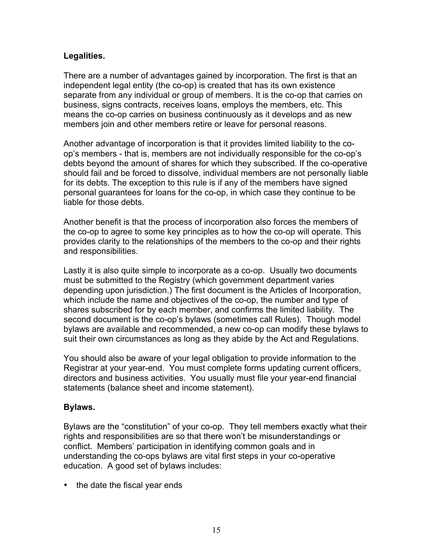### **Legalities.**

There are a number of advantages gained by incorporation. The first is that an independent legal entity (the co-op) is created that has its own existence separate from any individual or group of members. It is the co-op that carries on business, signs contracts, receives loans, employs the members, etc. This means the co-op carries on business continuously as it develops and as new members join and other members retire or leave for personal reasons.

Another advantage of incorporation is that it provides limited liability to the coop's members - that is, members are not individually responsible for the co-op's debts beyond the amount of shares for which they subscribed. If the co-operative should fail and be forced to dissolve, individual members are not personally liable for its debts. The exception to this rule is if any of the members have signed personal guarantees for loans for the co-op, in which case they continue to be liable for those debts.

Another benefit is that the process of incorporation also forces the members of the co-op to agree to some key principles as to how the co-op will operate. This provides clarity to the relationships of the members to the co-op and their rights and responsibilities.

Lastly it is also quite simple to incorporate as a co-op. Usually two documents must be submitted to the Registry (which government department varies depending upon jurisdiction.) The first document is the Articles of Incorporation, which include the name and objectives of the co-op, the number and type of shares subscribed for by each member, and confirms the limited liability. The second document is the co-op's bylaws (sometimes call Rules). Though model bylaws are available and recommended, a new co-op can modify these bylaws to suit their own circumstances as long as they abide by the Act and Regulations.

You should also be aware of your legal obligation to provide information to the Registrar at your year-end. You must complete forms updating current officers, directors and business activities. You usually must file your year-end financial statements (balance sheet and income statement).

# **Bylaws.**

Bylaws are the "constitution" of your co-op. They tell members exactly what their rights and responsibilities are so that there won't be misunderstandings or conflict. Members' participation in identifying common goals and in understanding the co-ops bylaws are vital first steps in your co-operative education. A good set of bylaws includes:

• the date the fiscal year ends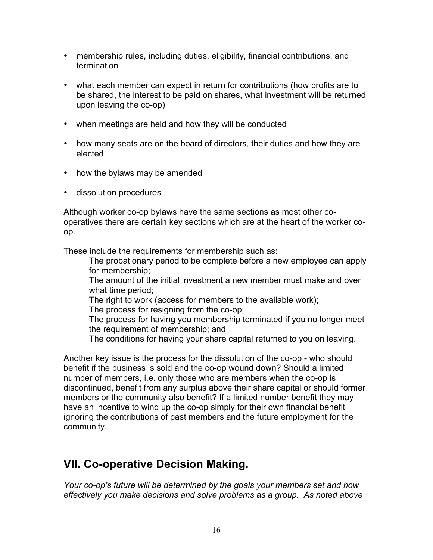- membership rules, including duties, eligibility, financial contributions, and termination
- what each member can expect in return for contributions (how profits are to be shared, the interest to be paid on shares, what investment will be returned upon leaving the co-op)
- when meetings are held and how they will be conducted
- how many seats are on the board of directors, their duties and how they are elected
- how the bylaws may be amended
- dissolution procedures

Although worker co-op bylaws have the same sections as most other cooperatives there are certain key sections which are at the heart of the worker coop.

These include the requirements for membership such as:

The probationary period to be complete before a new employee can apply for membership;

The amount of the initial investment a new member must make and over what time period;

The right to work (access for members to the available work);

The process for resigning from the co-op;

The process for having you membership terminated if you no longer meet the requirement of membership; and

The conditions for having your share capital returned to you on leaving.

Another key issue is the process for the dissolution of the co-op - who should benefit if the business is sold and the co-op wound down? Should a limited number of members, i.e. only those who are members when the co-op is discontinued, benefit from any surplus above their share capital or should former members or the community also benefit? If a limited number benefit they may have an incentive to wind up the co-op simply for their own financial benefit ignoring the contributions of past members and the future employment for the community.

# **VII. Co-operative Decision Making.**

*Your co-op's future will be determined by the goals your members set and how effectively you make decisions and solve problems as a group. As noted above*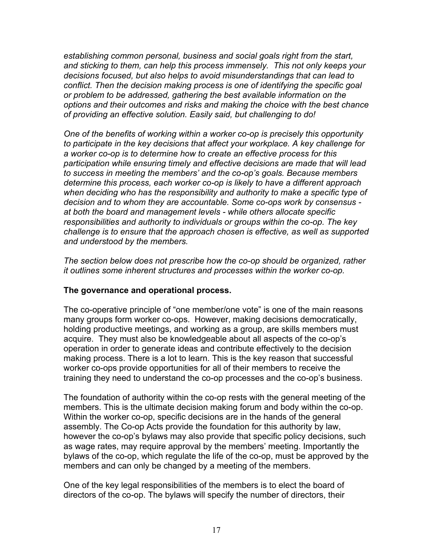*establishing common personal, business and social goals right from the start, and sticking to them, can help this process immensely. This not only keeps your decisions focused, but also helps to avoid misunderstandings that can lead to conflict. Then the decision making process is one of identifying the specific goal or problem to be addressed, gathering the best available information on the options and their outcomes and risks and making the choice with the best chance of providing an effective solution. Easily said, but challenging to do!*

*One of the benefits of working within a worker co-op is precisely this opportunity to participate in the key decisions that affect your workplace. A key challenge for a worker co-op is to determine how to create an effective process for this participation while ensuring timely and effective decisions are made that will lead to success in meeting the members' and the co-op's goals. Because members determine this process, each worker co-op is likely to have a different approach when deciding who has the responsibility and authority to make a specific type of decision and to whom they are accountable. Some co-ops work by consensus at both the board and management levels - while others allocate specific responsibilities and authority to individuals or groups within the co-op. The key challenge is to ensure that the approach chosen is effective, as well as supported and understood by the members.* 

*The section below does not prescribe how the co-op should be organized, rather it outlines some inherent structures and processes within the worker co-op.*

#### **The governance and operational process.**

The co-operative principle of "one member/one vote" is one of the main reasons many groups form worker co-ops. However, making decisions democratically, holding productive meetings, and working as a group, are skills members must acquire. They must also be knowledgeable about all aspects of the co-op's operation in order to generate ideas and contribute effectively to the decision making process. There is a lot to learn. This is the key reason that successful worker co-ops provide opportunities for all of their members to receive the training they need to understand the co-op processes and the co-op's business.

The foundation of authority within the co-op rests with the general meeting of the members. This is the ultimate decision making forum and body within the co-op. Within the worker co-op, specific decisions are in the hands of the general assembly. The Co-op Acts provide the foundation for this authority by law, however the co-op's bylaws may also provide that specific policy decisions, such as wage rates, may require approval by the members' meeting. Importantly the bylaws of the co-op, which regulate the life of the co-op, must be approved by the members and can only be changed by a meeting of the members.

One of the key legal responsibilities of the members is to elect the board of directors of the co-op. The bylaws will specify the number of directors, their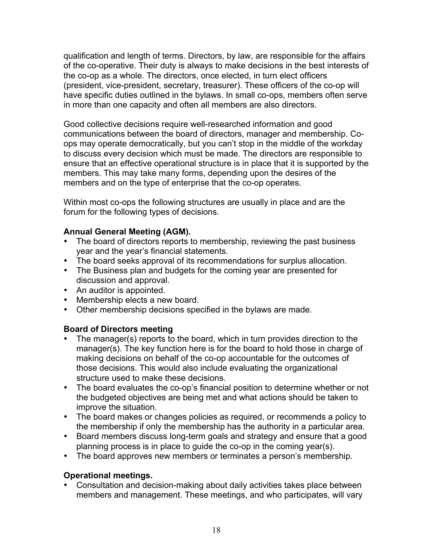qualification and length of terms. Directors, by law, are responsible for the affairs of the co-operative. Their duty is always to make decisions in the best interests of the co-op as a whole. The directors, once elected, in turn elect officers (president, vice-president, secretary, treasurer). These officers of the co-op will have specific duties outlined in the bylaws. In small co-ops, members often serve in more than one capacity and often all members are also directors.

Good collective decisions require well-researched information and good communications between the board of directors, manager and membership. Coops may operate democratically, but you can't stop in the middle of the workday to discuss every decision which must be made. The directors are responsible to ensure that an effective operational structure is in place that it is supported by the members. This may take many forms, depending upon the desires of the members and on the type of enterprise that the co-op operates.

Within most co-ops the following structures are usually in place and are the forum for the following types of decisions.

# **Annual General Meeting (AGM).**

- The board of directors reports to membership, reviewing the past business year and the year's financial statements.
- The board seeks approval of its recommendations for surplus allocation.
- The Business plan and budgets for the coming year are presented for discussion and approval.
- An auditor is appointed.
- Membership elects a new board.
- Other membership decisions specified in the bylaws are made.

# **Board of Directors meeting**

- The manager(s) reports to the board, which in turn provides direction to the manager(s). The key function here is for the board to hold those in charge of making decisions on behalf of the co-op accountable for the outcomes of those decisions. This would also include evaluating the organizational structure used to make these decisions.
- The board evaluates the co-op's financial position to determine whether or not the budgeted objectives are being met and what actions should be taken to improve the situation.
- The board makes or changes policies as required, or recommends a policy to the membership if only the membership has the authority in a particular area.
- Board members discuss long-term goals and strategy and ensure that a good planning process is in place to guide the co-op in the coming year(s).
- The board approves new members or terminates a person's membership.

# **Operational meetings.**

• Consultation and decision-making about daily activities takes place between members and management. These meetings, and who participates, will vary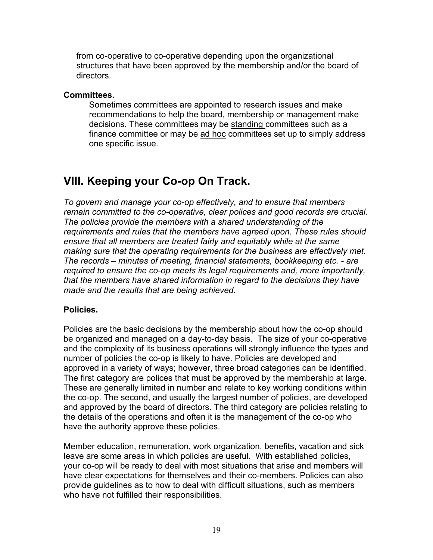from co-operative to co-operative depending upon the organizational structures that have been approved by the membership and/or the board of directors.

#### **Committees.**

Sometimes committees are appointed to research issues and make recommendations to help the board, membership or management make decisions. These committees may be standing committees such as a finance committee or may be ad hoc committees set up to simply address one specific issue.

# **VIII. Keeping your Co-op On Track.**

*To govern and manage your co-op effectively, and to ensure that members remain committed to the co-operative, clear polices and good records are crucial. The policies provide the members with a shared understanding of the requirements and rules that the members have agreed upon. These rules should ensure that all members are treated fairly and equitably while at the same making sure that the operating requirements for the business are effectively met. The records – minutes of meeting, financial statements, bookkeeping etc. - are required to ensure the co-op meets its legal requirements and, more importantly, that the members have shared information in regard to the decisions they have made and the results that are being achieved.* 

# **Policies.**

Policies are the basic decisions by the membership about how the co-op should be organized and managed on a day-to-day basis. The size of your co-operative and the complexity of its business operations will strongly influence the types and number of policies the co-op is likely to have. Policies are developed and approved in a variety of ways; however, three broad categories can be identified. The first category are polices that must be approved by the membership at large. These are generally limited in number and relate to key working conditions within the co-op. The second, and usually the largest number of policies, are developed and approved by the board of directors. The third category are policies relating to the details of the operations and often it is the management of the co-op who have the authority approve these policies.

Member education, remuneration, work organization, benefits, vacation and sick leave are some areas in which policies are useful. With established policies, your co-op will be ready to deal with most situations that arise and members will have clear expectations for themselves and their co-members. Policies can also provide guidelines as to how to deal with difficult situations, such as members who have not fulfilled their responsibilities.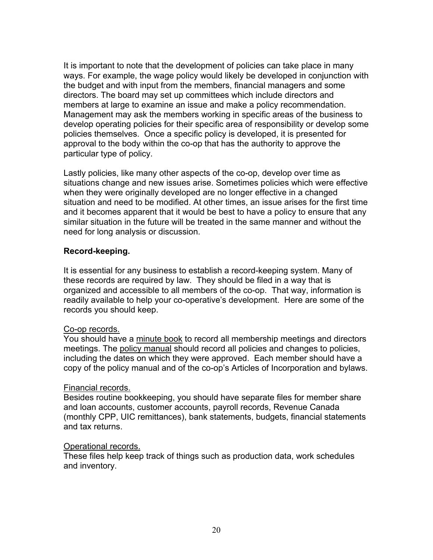It is important to note that the development of policies can take place in many ways. For example, the wage policy would likely be developed in conjunction with the budget and with input from the members, financial managers and some directors. The board may set up committees which include directors and members at large to examine an issue and make a policy recommendation. Management may ask the members working in specific areas of the business to develop operating policies for their specific area of responsibility or develop some policies themselves. Once a specific policy is developed, it is presented for approval to the body within the co-op that has the authority to approve the particular type of policy.

Lastly policies, like many other aspects of the co-op, develop over time as situations change and new issues arise. Sometimes policies which were effective when they were originally developed are no longer effective in a changed situation and need to be modified. At other times, an issue arises for the first time and it becomes apparent that it would be best to have a policy to ensure that any similar situation in the future will be treated in the same manner and without the need for long analysis or discussion.

### **Record-keeping.**

It is essential for any business to establish a record-keeping system. Many of these records are required by law. They should be filed in a way that is organized and accessible to all members of the co-op. That way, information is readily available to help your co-operative's development. Here are some of the records you should keep.

#### Co-op records.

You should have a minute book to record all membership meetings and directors meetings. The policy manual should record all policies and changes to policies, including the dates on which they were approved. Each member should have a copy of the policy manual and of the co-op's Articles of Incorporation and bylaws.

#### Financial records.

Besides routine bookkeeping, you should have separate files for member share and loan accounts, customer accounts, payroll records, Revenue Canada (monthly CPP, UIC remittances), bank statements, budgets, financial statements and tax returns.

#### Operational records.

These files help keep track of things such as production data, work schedules and inventory.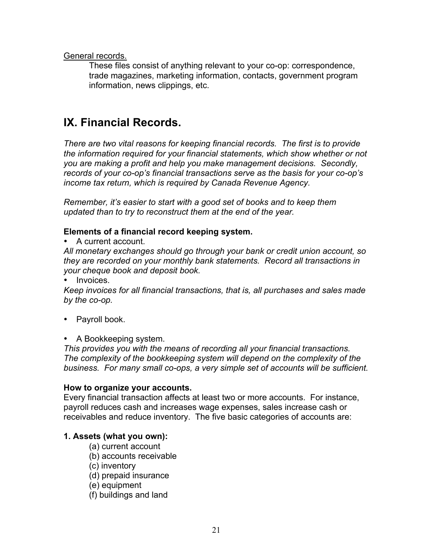General records.

These files consist of anything relevant to your co-op: correspondence, trade magazines, marketing information, contacts, government program information, news clippings, etc.

# **IX. Financial Records.**

*There are two vital reasons for keeping financial records. The first is to provide the information required for your financial statements, which show whether or not you are making a profit and help you make management decisions. Secondly, records of your co-op's financial transactions serve as the basis for your co-op's income tax return, which is required by Canada Revenue Agency.*

*Remember, it's easier to start with a good set of books and to keep them updated than to try to reconstruct them at the end of the year.*

# **Elements of a financial record keeping system.**

• A current account.

*All monetary exchanges should go through your bank or credit union account, so they are recorded on your monthly bank statements. Record all transactions in your cheque book and deposit book.*

Invoices.

*Keep invoices for all financial transactions, that is, all purchases and sales made by the co-op.*

- Payroll book.
- A Bookkeeping system.

*This provides you with the means of recording all your financial transactions. The complexity of the bookkeeping system will depend on the complexity of the business. For many small co-ops, a very simple set of accounts will be sufficient.* 

# **How to organize your accounts.**

Every financial transaction affects at least two or more accounts. For instance, payroll reduces cash and increases wage expenses, sales increase cash or receivables and reduce inventory. The five basic categories of accounts are:

# **1. Assets (what you own):**

- (a) current account
- (b) accounts receivable
- (c) inventory
- (d) prepaid insurance
- (e) equipment
- (f) buildings and land